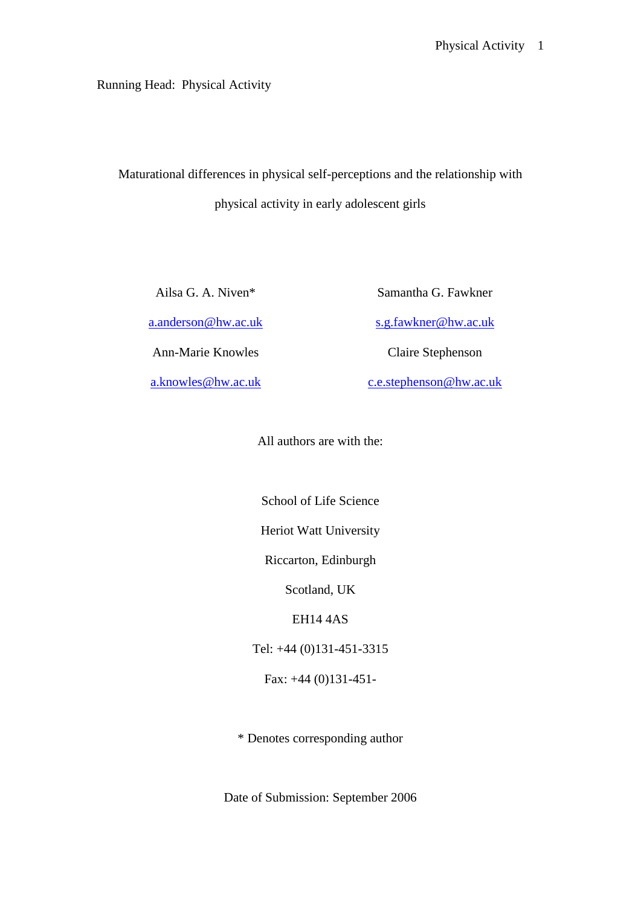Running Head: Physical Activity

Maturational differences in physical self-perceptions and the relationship with physical activity in early adolescent girls

Ailsa G. A. Niven\*

[a.anderson@hw.ac.uk](mailto:a.anderson@hw.ac.uk)

Ann-Marie Knowles

[a.knowles@hw.ac.uk](mailto:a.knowles@hw.ac.uk)

Samantha G. Fawkner [s.g.fawkner@hw.ac.uk](mailto:s.g.fawkner@hw.ac.uk) Claire Stephenson [c.e.stephenson@hw.ac.uk](mailto:c.e.stephenson@hw.ac.uk)

All authors are with the:

School of Life Science

Heriot Watt University

Riccarton, Edinburgh

Scotland, UK

EH14 4AS

Tel: +44 (0)131-451-3315

Fax: +44 (0)131-451-

\* Denotes corresponding author

Date of Submission: September 2006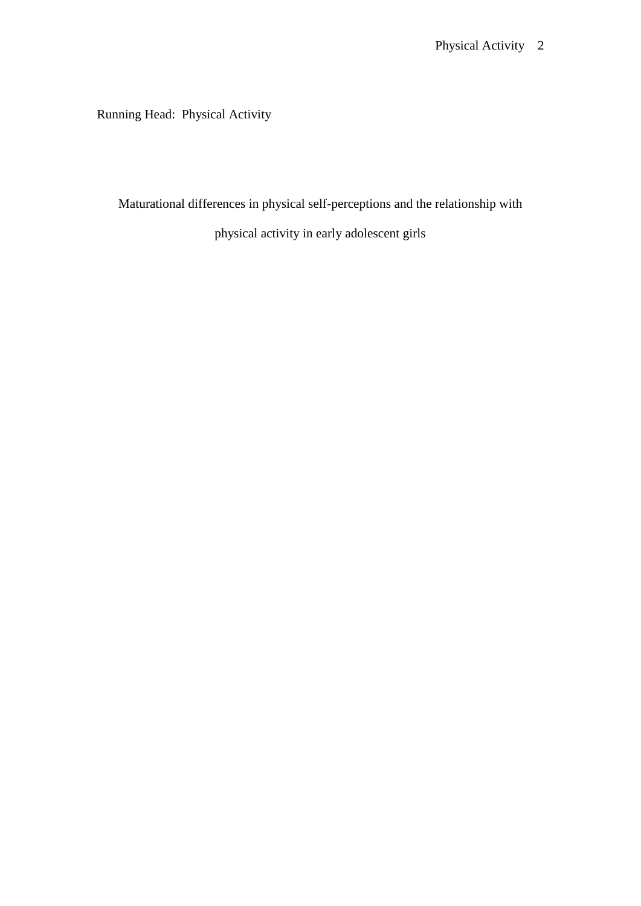Running Head: Physical Activity

Maturational differences in physical self-perceptions and the relationship with

physical activity in early adolescent girls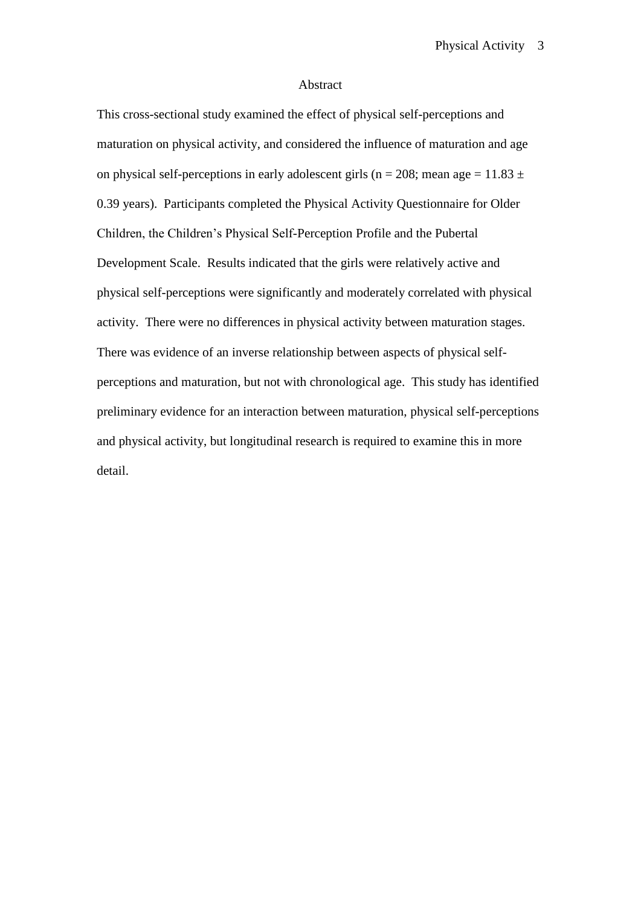## Abstract

This cross-sectional study examined the effect of physical self-perceptions and maturation on physical activity, and considered the influence of maturation and age on physical self-perceptions in early adolescent girls (n = 208; mean age =  $11.83 \pm 1.83$ ) 0.39 years). Participants completed the Physical Activity Questionnaire for Older Children, the Children's Physical Self-Perception Profile and the Pubertal Development Scale. Results indicated that the girls were relatively active and physical self-perceptions were significantly and moderately correlated with physical activity. There were no differences in physical activity between maturation stages. There was evidence of an inverse relationship between aspects of physical selfperceptions and maturation, but not with chronological age. This study has identified preliminary evidence for an interaction between maturation, physical self-perceptions and physical activity, but longitudinal research is required to examine this in more detail.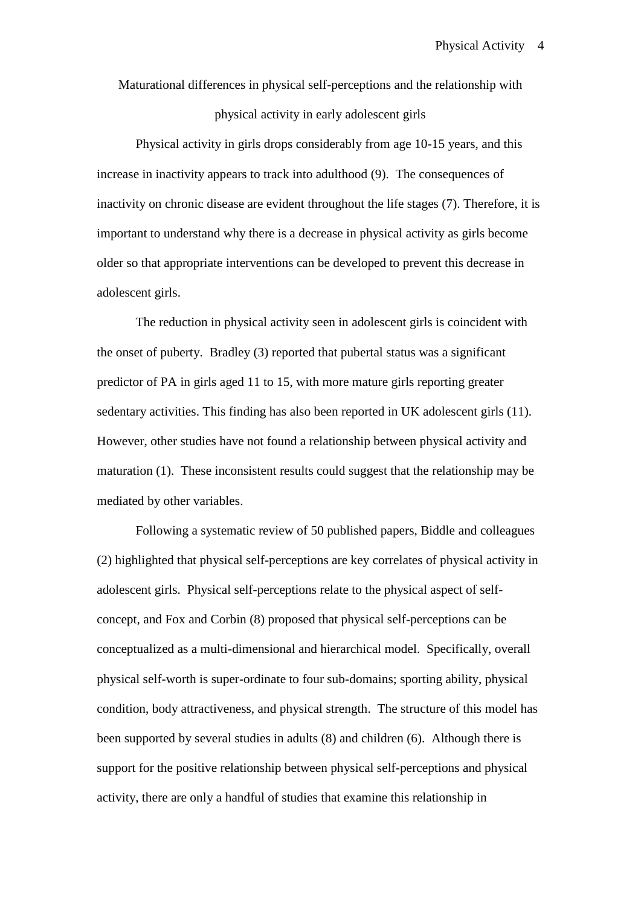Maturational differences in physical self-perceptions and the relationship with physical activity in early adolescent girls

Physical activity in girls drops considerably from age 10-15 years, and this increase in inactivity appears to track into adulthood (9). The consequences of inactivity on chronic disease are evident throughout the life stages (7). Therefore, it is important to understand why there is a decrease in physical activity as girls become older so that appropriate interventions can be developed to prevent this decrease in adolescent girls.

The reduction in physical activity seen in adolescent girls is coincident with the onset of puberty. Bradley (3) reported that pubertal status was a significant predictor of PA in girls aged 11 to 15, with more mature girls reporting greater sedentary activities. This finding has also been reported in UK adolescent girls (11). However, other studies have not found a relationship between physical activity and maturation (1). These inconsistent results could suggest that the relationship may be mediated by other variables.

Following a systematic review of 50 published papers, Biddle and colleagues (2) highlighted that physical self-perceptions are key correlates of physical activity in adolescent girls. Physical self-perceptions relate to the physical aspect of selfconcept, and Fox and Corbin (8) proposed that physical self-perceptions can be conceptualized as a multi-dimensional and hierarchical model. Specifically, overall physical self-worth is super-ordinate to four sub-domains; sporting ability, physical condition, body attractiveness, and physical strength. The structure of this model has been supported by several studies in adults (8) and children (6). Although there is support for the positive relationship between physical self-perceptions and physical activity, there are only a handful of studies that examine this relationship in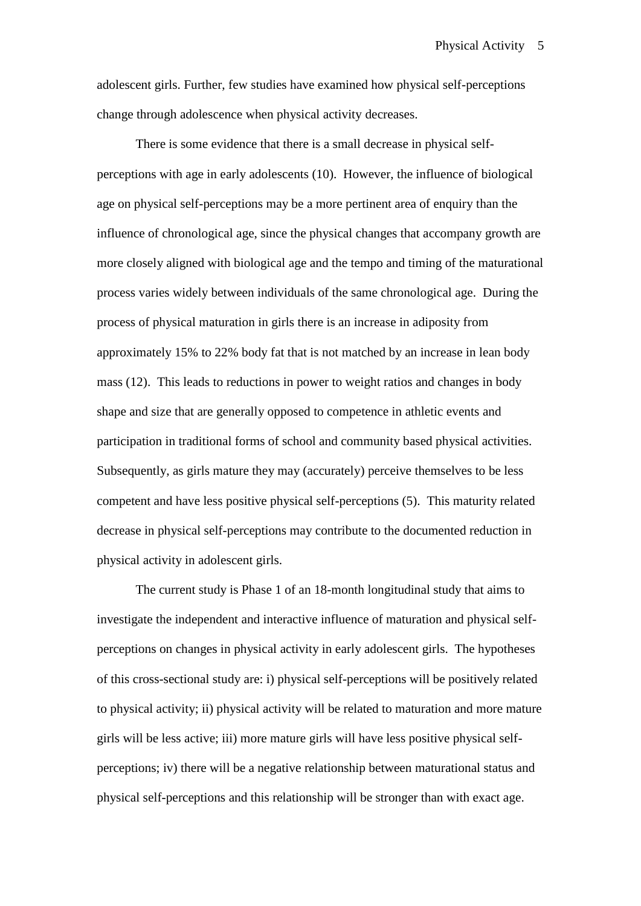adolescent girls. Further, few studies have examined how physical self-perceptions change through adolescence when physical activity decreases.

There is some evidence that there is a small decrease in physical selfperceptions with age in early adolescents (10). However, the influence of biological age on physical self-perceptions may be a more pertinent area of enquiry than the influence of chronological age, since the physical changes that accompany growth are more closely aligned with biological age and the tempo and timing of the maturational process varies widely between individuals of the same chronological age. During the process of physical maturation in girls there is an increase in adiposity from approximately 15% to 22% body fat that is not matched by an increase in lean body mass (12). This leads to reductions in power to weight ratios and changes in body shape and size that are generally opposed to competence in athletic events and participation in traditional forms of school and community based physical activities. Subsequently, as girls mature they may (accurately) perceive themselves to be less competent and have less positive physical self-perceptions (5). This maturity related decrease in physical self-perceptions may contribute to the documented reduction in physical activity in adolescent girls.

The current study is Phase 1 of an 18-month longitudinal study that aims to investigate the independent and interactive influence of maturation and physical selfperceptions on changes in physical activity in early adolescent girls. The hypotheses of this cross-sectional study are: i) physical self-perceptions will be positively related to physical activity; ii) physical activity will be related to maturation and more mature girls will be less active; iii) more mature girls will have less positive physical selfperceptions; iv) there will be a negative relationship between maturational status and physical self-perceptions and this relationship will be stronger than with exact age.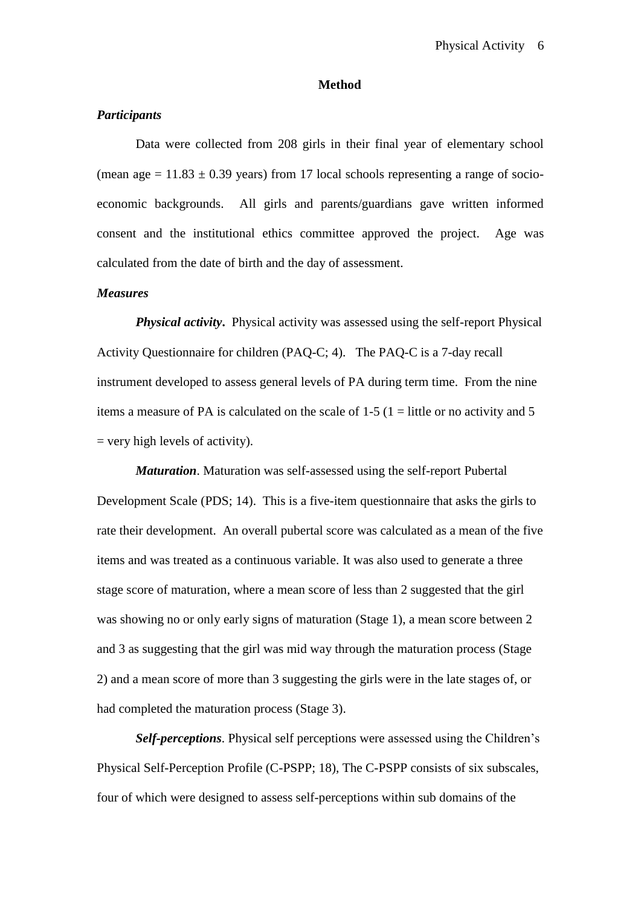#### **Method**

## *Participants*

Data were collected from 208 girls in their final year of elementary school (mean age  $= 11.83 \pm 0.39$  years) from 17 local schools representing a range of socioeconomic backgrounds. All girls and parents/guardians gave written informed consent and the institutional ethics committee approved the project. Age was calculated from the date of birth and the day of assessment.

#### *Measures*

*Physical activity***.** Physical activity was assessed using the self-report Physical Activity Questionnaire for children (PAQ-C; 4). The PAQ-C is a 7-day recall instrument developed to assess general levels of PA during term time. From the nine items a measure of PA is calculated on the scale of  $1-5$  ( $1 =$  little or no activity and  $5$ )  $=$  very high levels of activity).

*Maturation*. Maturation was self-assessed using the self-report Pubertal Development Scale (PDS; 14). This is a five-item questionnaire that asks the girls to rate their development. An overall pubertal score was calculated as a mean of the five items and was treated as a continuous variable. It was also used to generate a three stage score of maturation, where a mean score of less than 2 suggested that the girl was showing no or only early signs of maturation (Stage 1), a mean score between 2 and 3 as suggesting that the girl was mid way through the maturation process (Stage 2) and a mean score of more than 3 suggesting the girls were in the late stages of, or had completed the maturation process (Stage 3).

*Self-perceptions*. Physical self perceptions were assessed using the Children's Physical Self-Perception Profile (C-PSPP; 18), The C-PSPP consists of six subscales, four of which were designed to assess self-perceptions within sub domains of the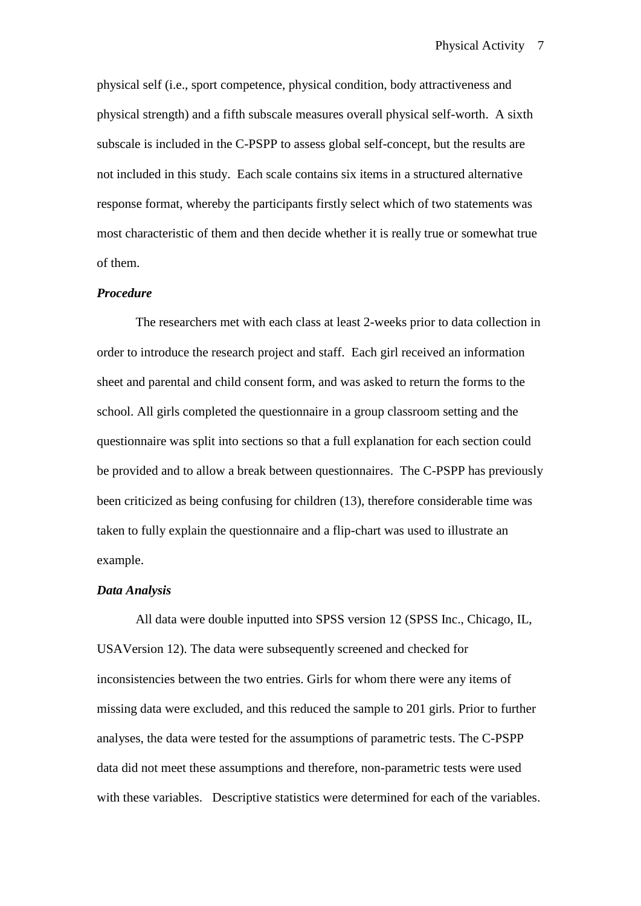physical self (i.e., sport competence, physical condition, body attractiveness and physical strength) and a fifth subscale measures overall physical self-worth. A sixth subscale is included in the C-PSPP to assess global self-concept, but the results are not included in this study. Each scale contains six items in a structured alternative response format, whereby the participants firstly select which of two statements was most characteristic of them and then decide whether it is really true or somewhat true of them.

## *Procedure*

The researchers met with each class at least 2-weeks prior to data collection in order to introduce the research project and staff. Each girl received an information sheet and parental and child consent form, and was asked to return the forms to the school. All girls completed the questionnaire in a group classroom setting and the questionnaire was split into sections so that a full explanation for each section could be provided and to allow a break between questionnaires. The C-PSPP has previously been criticized as being confusing for children (13), therefore considerable time was taken to fully explain the questionnaire and a flip-chart was used to illustrate an example.

### *Data Analysis*

All data were double inputted into SPSS version 12 (SPSS Inc., Chicago, IL, USAVersion 12). The data were subsequently screened and checked for inconsistencies between the two entries. Girls for whom there were any items of missing data were excluded, and this reduced the sample to 201 girls. Prior to further analyses, the data were tested for the assumptions of parametric tests. The C-PSPP data did not meet these assumptions and therefore, non-parametric tests were used with these variables. Descriptive statistics were determined for each of the variables.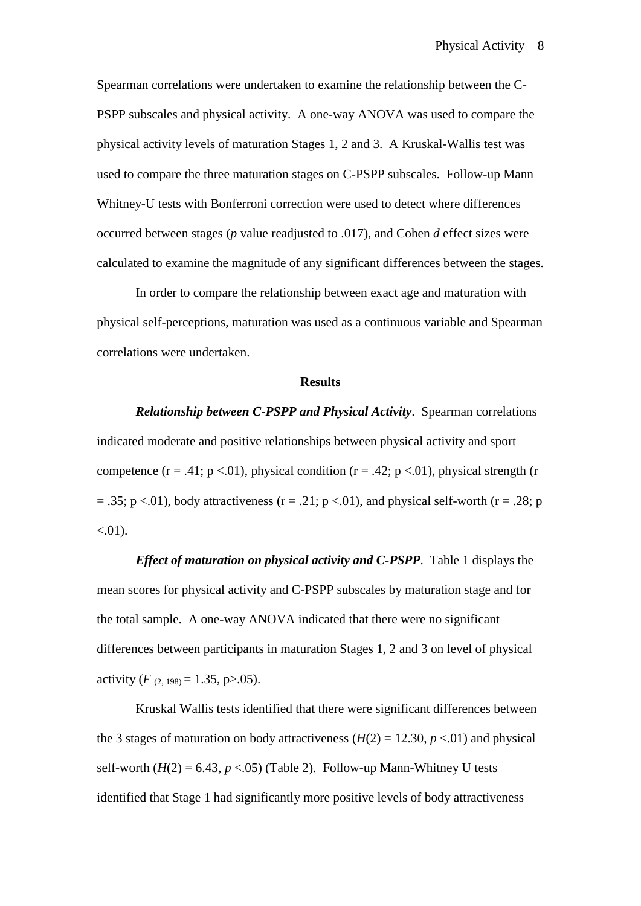Spearman correlations were undertaken to examine the relationship between the C-PSPP subscales and physical activity. A one-way ANOVA was used to compare the physical activity levels of maturation Stages 1, 2 and 3. A Kruskal-Wallis test was used to compare the three maturation stages on C-PSPP subscales. Follow-up Mann Whitney-U tests with Bonferroni correction were used to detect where differences occurred between stages (*p* value readjusted to .017), and Cohen *d* effect sizes were calculated to examine the magnitude of any significant differences between the stages.

In order to compare the relationship between exact age and maturation with physical self-perceptions, maturation was used as a continuous variable and Spearman correlations were undertaken.

## **Results**

*Relationship between C-PSPP and Physical Activity*. Spearman correlations indicated moderate and positive relationships between physical activity and sport competence  $(r = .41; p < .01)$ , physical condition  $(r = .42; p < .01)$ , physical strength (r  $= .35$ ; p <.01), body attractiveness (r = .21; p <.01), and physical self-worth (r = .28; p  $< 01$ ).

*Effect of maturation on physical activity and C-PSPP*. Table 1 displays the mean scores for physical activity and C-PSPP subscales by maturation stage and for the total sample. A one-way ANOVA indicated that there were no significant differences between participants in maturation Stages 1, 2 and 3 on level of physical activity  $(F_{(2, 198)} = 1.35, p > 0.05)$ .

Kruskal Wallis tests identified that there were significant differences between the 3 stages of maturation on body attractiveness  $(H(2) = 12.30, p < 0.01)$  and physical self-worth  $(H(2) = 6.43, p < .05)$  (Table 2). Follow-up Mann-Whitney U tests identified that Stage 1 had significantly more positive levels of body attractiveness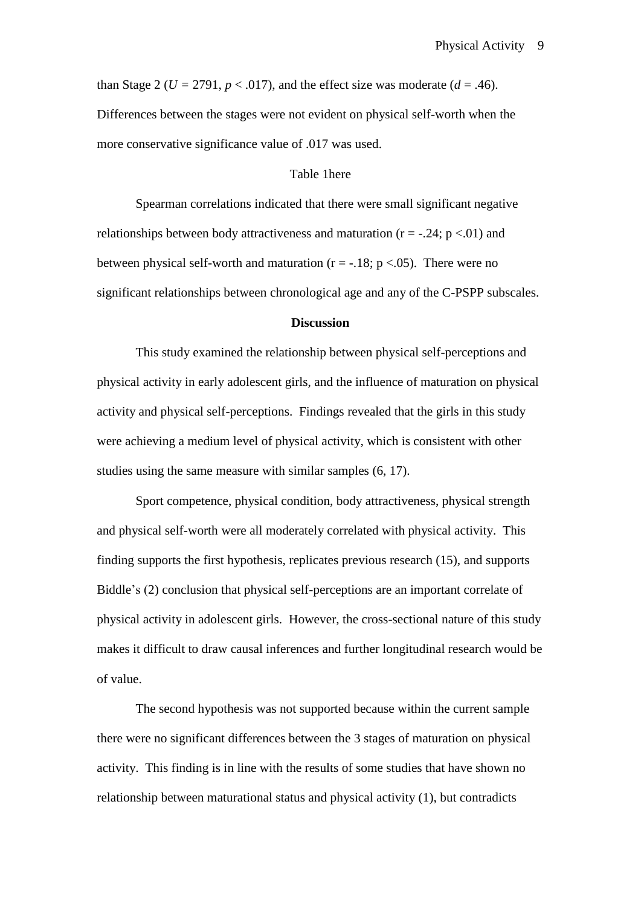than Stage 2 ( $U = 2791$ ,  $p < .017$ ), and the effect size was moderate ( $d = .46$ ). Differences between the stages were not evident on physical self-worth when the more conservative significance value of .017 was used.

# Table 1here

Spearman correlations indicated that there were small significant negative relationships between body attractiveness and maturation ( $r = -0.24$ ; p <.01) and between physical self-worth and maturation ( $r = -18$ ; p <.05). There were no significant relationships between chronological age and any of the C-PSPP subscales.

### **Discussion**

This study examined the relationship between physical self-perceptions and physical activity in early adolescent girls, and the influence of maturation on physical activity and physical self-perceptions. Findings revealed that the girls in this study were achieving a medium level of physical activity, which is consistent with other studies using the same measure with similar samples (6, 17).

Sport competence, physical condition, body attractiveness, physical strength and physical self-worth were all moderately correlated with physical activity. This finding supports the first hypothesis, replicates previous research (15), and supports Biddle's (2) conclusion that physical self-perceptions are an important correlate of physical activity in adolescent girls. However, the cross-sectional nature of this study makes it difficult to draw causal inferences and further longitudinal research would be of value.

The second hypothesis was not supported because within the current sample there were no significant differences between the 3 stages of maturation on physical activity. This finding is in line with the results of some studies that have shown no relationship between maturational status and physical activity (1), but contradicts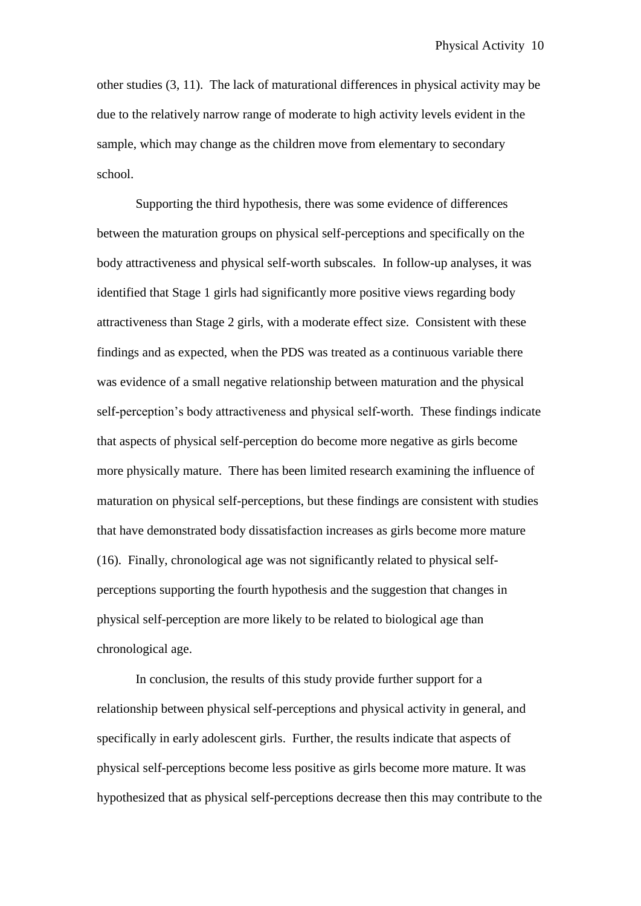other studies (3, 11). The lack of maturational differences in physical activity may be due to the relatively narrow range of moderate to high activity levels evident in the sample, which may change as the children move from elementary to secondary school.

Supporting the third hypothesis, there was some evidence of differences between the maturation groups on physical self-perceptions and specifically on the body attractiveness and physical self-worth subscales. In follow-up analyses, it was identified that Stage 1 girls had significantly more positive views regarding body attractiveness than Stage 2 girls, with a moderate effect size. Consistent with these findings and as expected, when the PDS was treated as a continuous variable there was evidence of a small negative relationship between maturation and the physical self-perception's body attractiveness and physical self-worth. These findings indicate that aspects of physical self-perception do become more negative as girls become more physically mature. There has been limited research examining the influence of maturation on physical self-perceptions, but these findings are consistent with studies that have demonstrated body dissatisfaction increases as girls become more mature (16). Finally, chronological age was not significantly related to physical selfperceptions supporting the fourth hypothesis and the suggestion that changes in physical self-perception are more likely to be related to biological age than chronological age.

In conclusion, the results of this study provide further support for a relationship between physical self-perceptions and physical activity in general, and specifically in early adolescent girls. Further, the results indicate that aspects of physical self-perceptions become less positive as girls become more mature. It was hypothesized that as physical self-perceptions decrease then this may contribute to the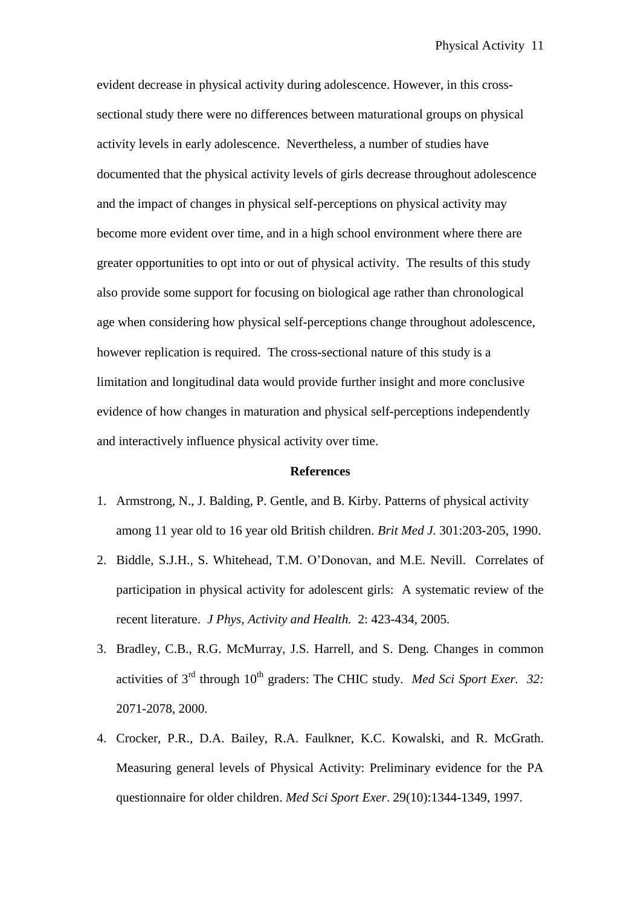evident decrease in physical activity during adolescence. However, in this crosssectional study there were no differences between maturational groups on physical activity levels in early adolescence. Nevertheless, a number of studies have documented that the physical activity levels of girls decrease throughout adolescence and the impact of changes in physical self-perceptions on physical activity may become more evident over time, and in a high school environment where there are greater opportunities to opt into or out of physical activity. The results of this study also provide some support for focusing on biological age rather than chronological age when considering how physical self-perceptions change throughout adolescence, however replication is required. The cross-sectional nature of this study is a limitation and longitudinal data would provide further insight and more conclusive evidence of how changes in maturation and physical self-perceptions independently and interactively influence physical activity over time.

### **References**

- 1. Armstrong, N., J. Balding, P. Gentle, and B. Kirby. Patterns of physical activity among 11 year old to 16 year old British children. *Brit Med J.* 301:203-205, 1990.
- 2. Biddle, S.J.H., S. Whitehead, T.M. O'Donovan, and M.E. Nevill. Correlates of participation in physical activity for adolescent girls: A systematic review of the recent literature. *J Phys, Activity and Health.* 2: 423-434, 2005.
- 3. Bradley, C.B., R.G. McMurray, J.S. Harrell, and S. Deng. Changes in common activities of  $3<sup>rd</sup>$  through  $10<sup>th</sup>$  graders: The CHIC study. *Med Sci Sport Exer.* 32: 2071-2078, 2000.
- 4. Crocker, P.R., D.A. Bailey, R.A. Faulkner, K.C. Kowalski, and R. McGrath. Measuring general levels of Physical Activity: Preliminary evidence for the PA questionnaire for older children. *Med Sci Sport Exer*. 29(10):1344-1349, 1997.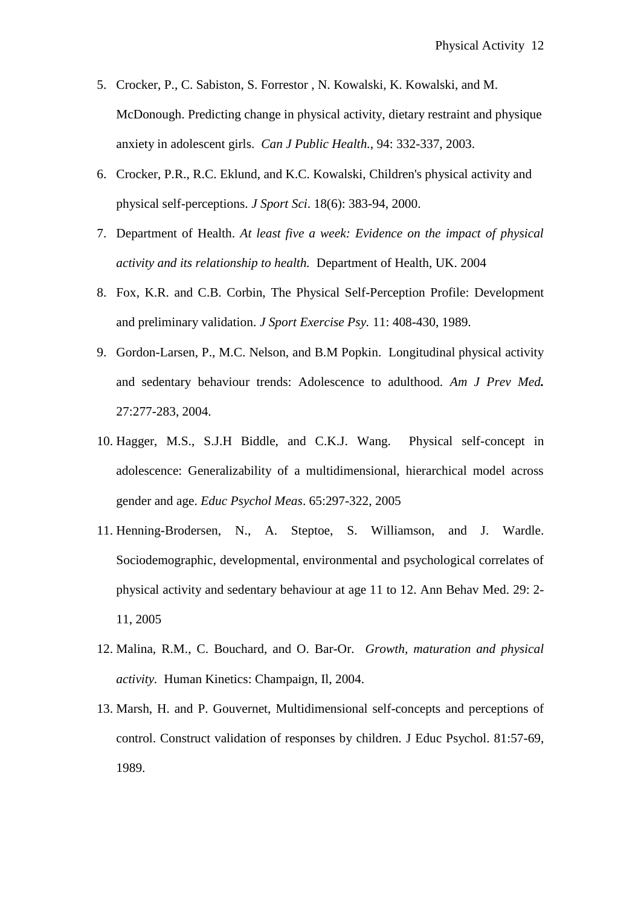- 5. Crocker, P., C. Sabiston, S. Forrestor , N. Kowalski, K. Kowalski, and M. McDonough. Predicting change in physical activity, dietary restraint and physique anxiety in adolescent girls. *Can J Public Health.*, 94: 332-337, 2003.
- 6. Crocker, P.R., R.C. Eklund, and K.C. Kowalski, Children's physical activity and physical self-perceptions. *J Sport Sci*. 18(6): 383-94, 2000.
- 7. Department of Health. *At least five a week: Evidence on the impact of physical activity and its relationship to health.* Department of Health, UK. 2004
- 8. Fox, K.R. and C.B. Corbin, The Physical Self-Perception Profile: Development and preliminary validation. *J Sport Exercise Psy.* 11: 408-430, 1989.
- 9. Gordon-Larsen, P., M.C. Nelson, and B.M Popkin. Longitudinal physical activity and sedentary behaviour trends: Adolescence to adulthood. *Am J Prev Med.* 27:277-283, 2004.
- 10. Hagger, M.S., S.J.H Biddle, and C.K.J. Wang. Physical self-concept in adolescence: Generalizability of a multidimensional, hierarchical model across gender and age. *Educ Psychol Meas*. 65:297-322, 2005
- 11. Henning-Brodersen, N., A. Steptoe, S. Williamson, and J. Wardle. Sociodemographic, developmental, environmental and psychological correlates of physical activity and sedentary behaviour at age 11 to 12. Ann Behav Med. 29: 2- 11, 2005
- 12. Malina, R.M., C. Bouchard, and O. Bar-Or. *Growth, maturation and physical activity.* Human Kinetics: Champaign, Il, 2004.
- 13. Marsh, H. and P. Gouvernet, Multidimensional self-concepts and perceptions of control. Construct validation of responses by children*.* J Educ Psychol. 81:57-69, 1989.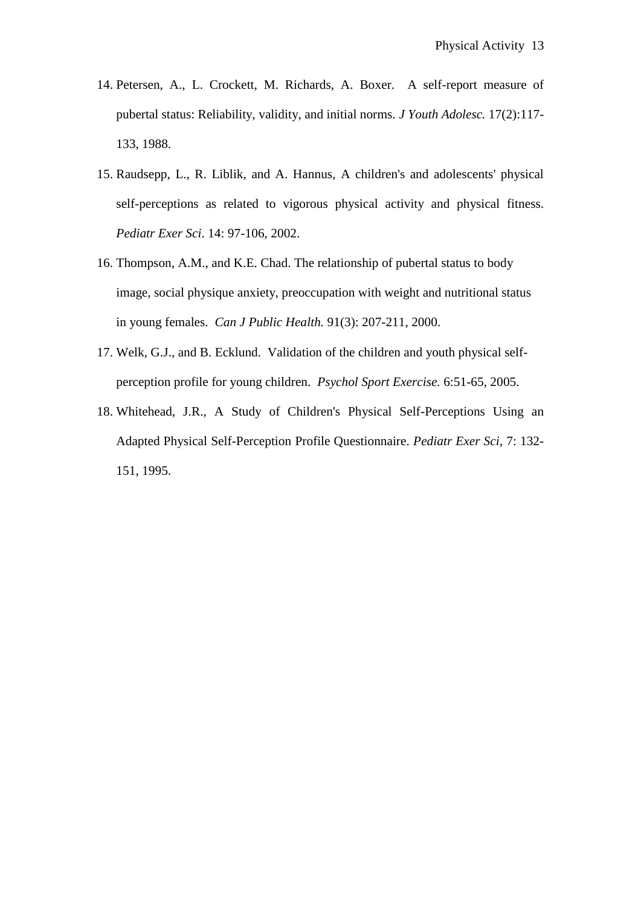- 14. Petersen, A., L. Crockett, M. Richards, A. Boxer. A self-report measure of pubertal status: Reliability, validity, and initial norms. *J Youth Adolesc.* 17(2):117- 133, 1988.
- 15. Raudsepp, L., R. Liblik, and A. Hannus, A children's and adolescents' physical self-perceptions as related to vigorous physical activity and physical fitness. *Pediatr Exer Sci*. 14: 97-106, 2002.
- 16. Thompson, A.M., and K.E. Chad. The relationship of pubertal status to body image, social physique anxiety, preoccupation with weight and nutritional status in young females. *Can J Public Health.* 91(3): 207-211, 2000.
- 17. Welk, G.J., and B. Ecklund. Validation of the children and youth physical selfperception profile for young children. *Psychol Sport Exercise.* 6:51-65, 2005.
- 18. Whitehead, J.R., A Study of Children's Physical Self-Perceptions Using an Adapted Physical Self-Perception Profile Questionnaire. *Pediatr Exer Sci*, 7: 132- 151, 1995.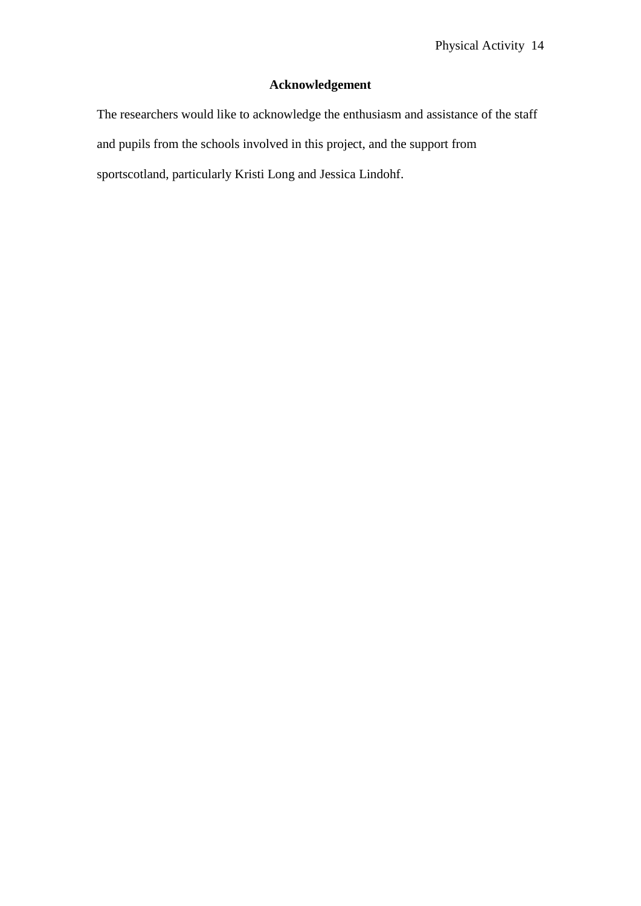# **Acknowledgement**

The researchers would like to acknowledge the enthusiasm and assistance of the staff and pupils from the schools involved in this project, and the support from sportscotland, particularly Kristi Long and Jessica Lindohf.